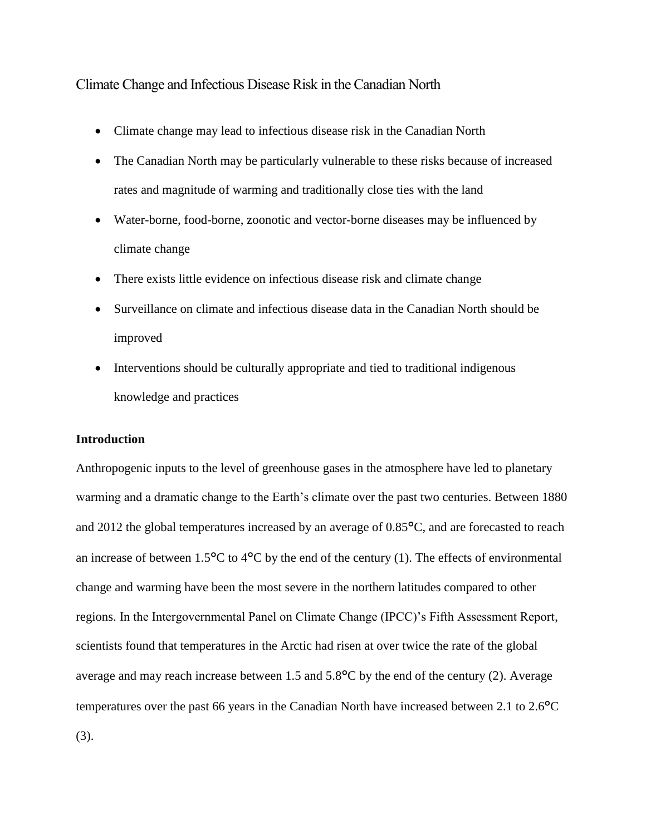# Climate Change and Infectious Disease Risk in the Canadian North

- Climate change may lead to infectious disease risk in the Canadian North
- The Canadian North may be particularly vulnerable to these risks because of increased rates and magnitude of warming and traditionally close ties with the land
- Water-borne, food-borne, zoonotic and vector-borne diseases may be influenced by climate change
- There exists little evidence on infectious disease risk and climate change
- Surveillance on climate and infectious disease data in the Canadian North should be improved
- Interventions should be culturally appropriate and tied to traditional indigenous knowledge and practices

# **Introduction**

Anthropogenic inputs to the level of greenhouse gases in the atmosphere have led to planetary warming and a dramatic change to the Earth's climate over the past two centuries. Between 1880 and 2012 the global temperatures increased by an average of 0.85°C, and are forecasted to reach an increase of between  $1.5^{\circ}$ C to  $4^{\circ}$ C by the end of the century (1). The effects of environmental change and warming have been the most severe in the northern latitudes compared to other regions. In the Intergovernmental Panel on Climate Change (IPCC)'s Fifth Assessment Report, scientists found that temperatures in the Arctic had risen at over twice the rate of the global average and may reach increase between 1.5 and 5.8°C by the end of the century (2). Average temperatures over the past 66 years in the Canadian North have increased between 2.1 to 2.6°C (3).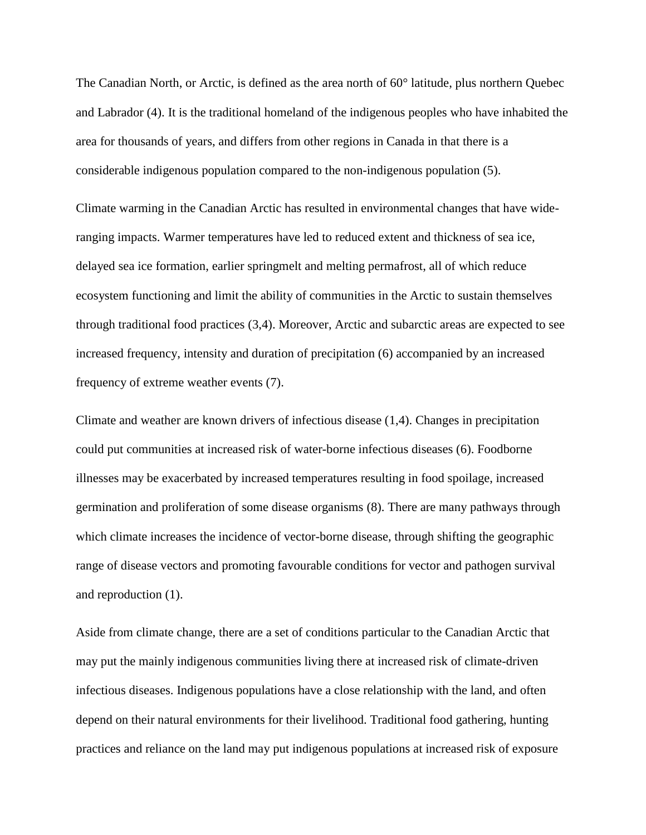The Canadian North, or Arctic, is defined as the area north of 60° latitude, plus northern Quebec and Labrador (4). It is the traditional homeland of the indigenous peoples who have inhabited the area for thousands of years, and differs from other regions in Canada in that there is a considerable indigenous population compared to the non-indigenous population (5).

Climate warming in the Canadian Arctic has resulted in environmental changes that have wideranging impacts. Warmer temperatures have led to reduced extent and thickness of sea ice, delayed sea ice formation, earlier springmelt and melting permafrost, all of which reduce ecosystem functioning and limit the ability of communities in the Arctic to sustain themselves through traditional food practices (3,4). Moreover, Arctic and subarctic areas are expected to see increased frequency, intensity and duration of precipitation (6) accompanied by an increased frequency of extreme weather events (7).

Climate and weather are known drivers of infectious disease (1,4). Changes in precipitation could put communities at increased risk of water-borne infectious diseases (6). Foodborne illnesses may be exacerbated by increased temperatures resulting in food spoilage, increased germination and proliferation of some disease organisms (8). There are many pathways through which climate increases the incidence of vector-borne disease, through shifting the geographic range of disease vectors and promoting favourable conditions for vector and pathogen survival and reproduction (1).

Aside from climate change, there are a set of conditions particular to the Canadian Arctic that may put the mainly indigenous communities living there at increased risk of climate-driven infectious diseases. Indigenous populations have a close relationship with the land, and often depend on their natural environments for their livelihood. Traditional food gathering, hunting practices and reliance on the land may put indigenous populations at increased risk of exposure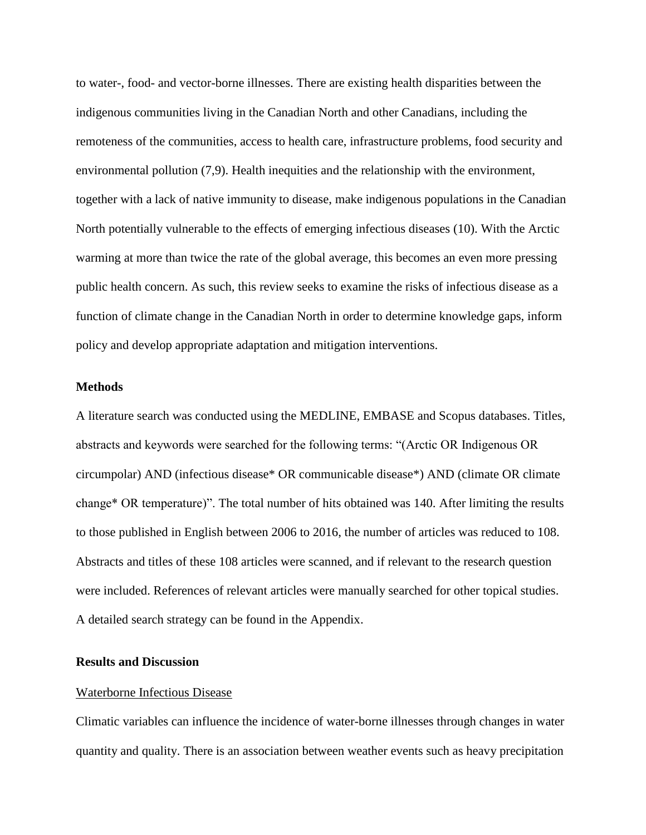to water-, food- and vector-borne illnesses. There are existing health disparities between the indigenous communities living in the Canadian North and other Canadians, including the remoteness of the communities, access to health care, infrastructure problems, food security and environmental pollution (7,9). Health inequities and the relationship with the environment, together with a lack of native immunity to disease, make indigenous populations in the Canadian North potentially vulnerable to the effects of emerging infectious diseases (10). With the Arctic warming at more than twice the rate of the global average, this becomes an even more pressing public health concern. As such, this review seeks to examine the risks of infectious disease as a function of climate change in the Canadian North in order to determine knowledge gaps, inform policy and develop appropriate adaptation and mitigation interventions.

### **Methods**

A literature search was conducted using the MEDLINE, EMBASE and Scopus databases. Titles, abstracts and keywords were searched for the following terms: "(Arctic OR Indigenous OR circumpolar) AND (infectious disease\* OR communicable disease\*) AND (climate OR climate change\* OR temperature)". The total number of hits obtained was 140. After limiting the results to those published in English between 2006 to 2016, the number of articles was reduced to 108. Abstracts and titles of these 108 articles were scanned, and if relevant to the research question were included. References of relevant articles were manually searched for other topical studies. A detailed search strategy can be found in the Appendix.

# **Results and Discussion**

#### Waterborne Infectious Disease

Climatic variables can influence the incidence of water-borne illnesses through changes in water quantity and quality. There is an association between weather events such as heavy precipitation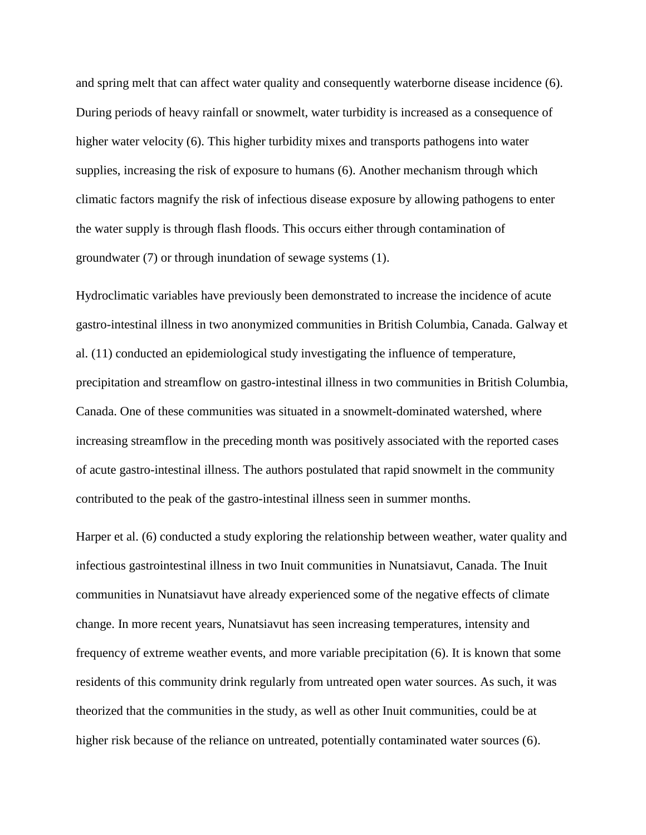and spring melt that can affect water quality and consequently waterborne disease incidence (6). During periods of heavy rainfall or snowmelt, water turbidity is increased as a consequence of higher water velocity (6). This higher turbidity mixes and transports pathogens into water supplies, increasing the risk of exposure to humans (6). Another mechanism through which climatic factors magnify the risk of infectious disease exposure by allowing pathogens to enter the water supply is through flash floods. This occurs either through contamination of groundwater (7) or through inundation of sewage systems (1).

Hydroclimatic variables have previously been demonstrated to increase the incidence of acute gastro-intestinal illness in two anonymized communities in British Columbia, Canada. Galway et al. (11) conducted an epidemiological study investigating the influence of temperature, precipitation and streamflow on gastro-intestinal illness in two communities in British Columbia, Canada. One of these communities was situated in a snowmelt-dominated watershed, where increasing streamflow in the preceding month was positively associated with the reported cases of acute gastro-intestinal illness. The authors postulated that rapid snowmelt in the community contributed to the peak of the gastro-intestinal illness seen in summer months.

Harper et al. (6) conducted a study exploring the relationship between weather, water quality and infectious gastrointestinal illness in two Inuit communities in Nunatsiavut, Canada. The Inuit communities in Nunatsiavut have already experienced some of the negative effects of climate change. In more recent years, Nunatsiavut has seen increasing temperatures, intensity and frequency of extreme weather events, and more variable precipitation (6). It is known that some residents of this community drink regularly from untreated open water sources. As such, it was theorized that the communities in the study, as well as other Inuit communities, could be at higher risk because of the reliance on untreated, potentially contaminated water sources (6).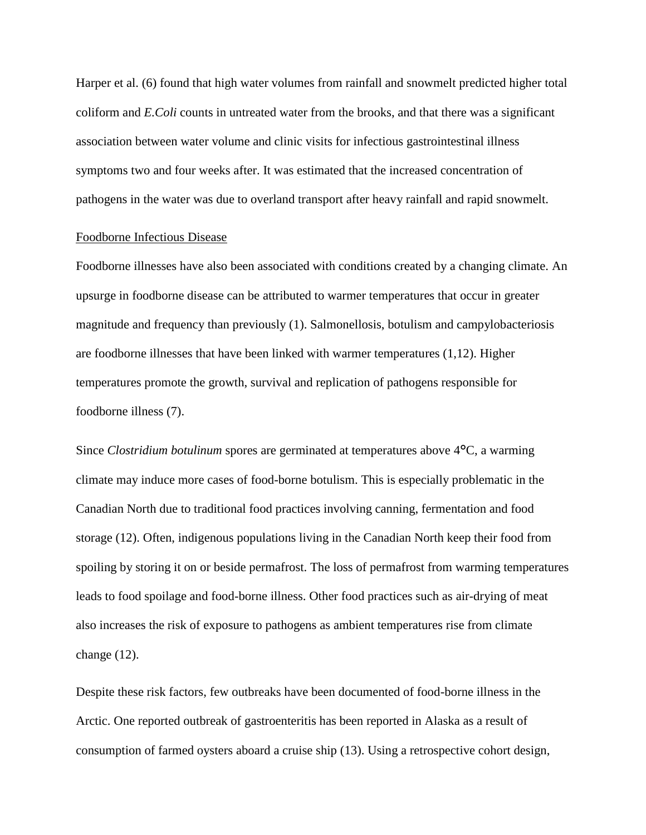Harper et al. (6) found that high water volumes from rainfall and snowmelt predicted higher total coliform and *E.Coli* counts in untreated water from the brooks, and that there was a significant association between water volume and clinic visits for infectious gastrointestinal illness symptoms two and four weeks after. It was estimated that the increased concentration of pathogens in the water was due to overland transport after heavy rainfall and rapid snowmelt.

#### Foodborne Infectious Disease

Foodborne illnesses have also been associated with conditions created by a changing climate. An upsurge in foodborne disease can be attributed to warmer temperatures that occur in greater magnitude and frequency than previously (1). Salmonellosis, botulism and campylobacteriosis are foodborne illnesses that have been linked with warmer temperatures (1,12). Higher temperatures promote the growth, survival and replication of pathogens responsible for foodborne illness (7).

Since *Clostridium botulinum* spores are germinated at temperatures above 4°C, a warming climate may induce more cases of food-borne botulism. This is especially problematic in the Canadian North due to traditional food practices involving canning, fermentation and food storage (12). Often, indigenous populations living in the Canadian North keep their food from spoiling by storing it on or beside permafrost. The loss of permafrost from warming temperatures leads to food spoilage and food-borne illness. Other food practices such as air-drying of meat also increases the risk of exposure to pathogens as ambient temperatures rise from climate change (12).

Despite these risk factors, few outbreaks have been documented of food-borne illness in the Arctic. One reported outbreak of gastroenteritis has been reported in Alaska as a result of consumption of farmed oysters aboard a cruise ship (13). Using a retrospective cohort design,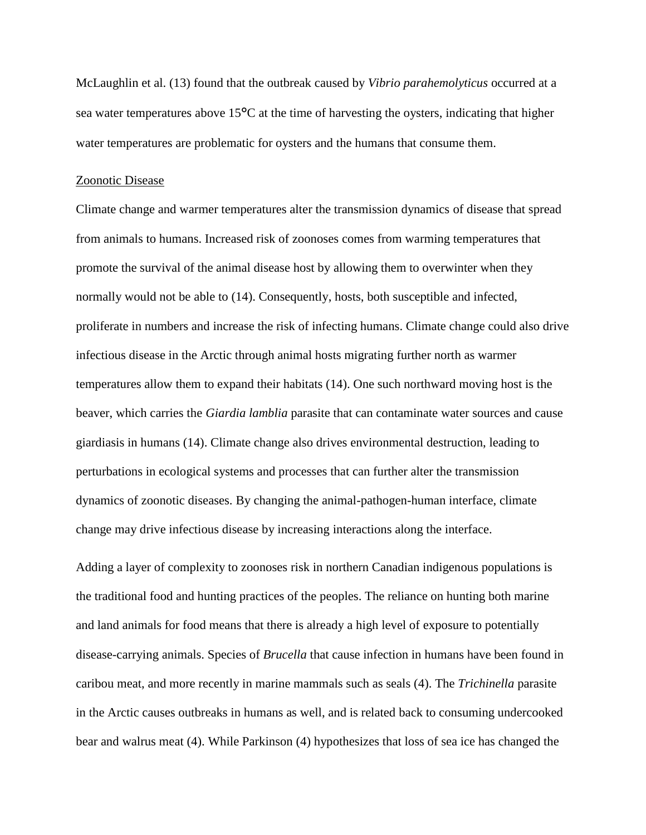McLaughlin et al. (13) found that the outbreak caused by *Vibrio parahemolyticus* occurred at a sea water temperatures above 15°C at the time of harvesting the oysters, indicating that higher water temperatures are problematic for oysters and the humans that consume them.

### Zoonotic Disease

Climate change and warmer temperatures alter the transmission dynamics of disease that spread from animals to humans. Increased risk of zoonoses comes from warming temperatures that promote the survival of the animal disease host by allowing them to overwinter when they normally would not be able to (14). Consequently, hosts, both susceptible and infected, proliferate in numbers and increase the risk of infecting humans. Climate change could also drive infectious disease in the Arctic through animal hosts migrating further north as warmer temperatures allow them to expand their habitats (14). One such northward moving host is the beaver, which carries the *Giardia lamblia* parasite that can contaminate water sources and cause giardiasis in humans (14). Climate change also drives environmental destruction, leading to perturbations in ecological systems and processes that can further alter the transmission dynamics of zoonotic diseases. By changing the animal-pathogen-human interface, climate change may drive infectious disease by increasing interactions along the interface.

Adding a layer of complexity to zoonoses risk in northern Canadian indigenous populations is the traditional food and hunting practices of the peoples. The reliance on hunting both marine and land animals for food means that there is already a high level of exposure to potentially disease-carrying animals. Species of *Brucella* that cause infection in humans have been found in caribou meat, and more recently in marine mammals such as seals (4). The *Trichinella* parasite in the Arctic causes outbreaks in humans as well, and is related back to consuming undercooked bear and walrus meat (4). While Parkinson (4) hypothesizes that loss of sea ice has changed the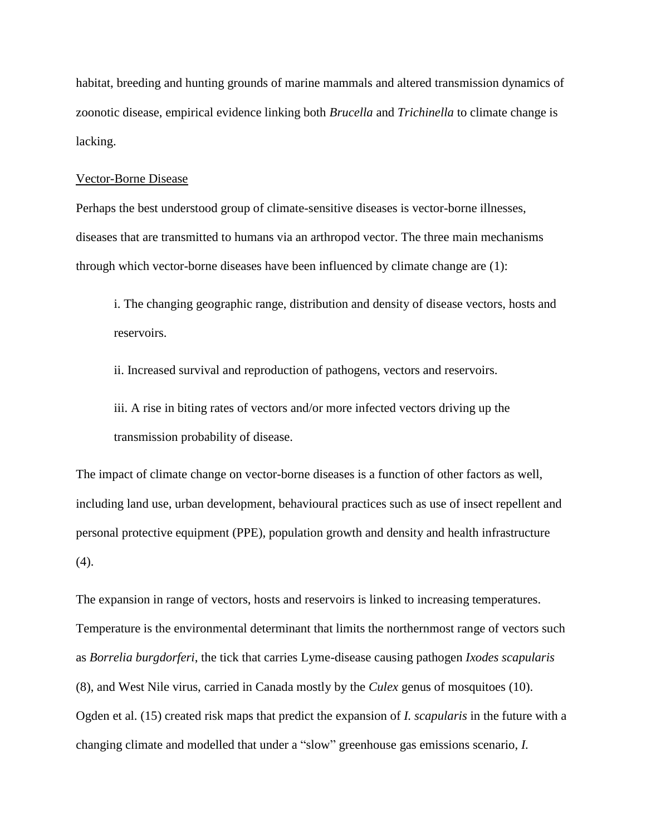habitat, breeding and hunting grounds of marine mammals and altered transmission dynamics of zoonotic disease, empirical evidence linking both *Brucella* and *Trichinella* to climate change is lacking.

### Vector-Borne Disease

Perhaps the best understood group of climate-sensitive diseases is vector-borne illnesses, diseases that are transmitted to humans via an arthropod vector. The three main mechanisms through which vector-borne diseases have been influenced by climate change are (1):

i. The changing geographic range, distribution and density of disease vectors, hosts and reservoirs.

ii. Increased survival and reproduction of pathogens, vectors and reservoirs.

iii. A rise in biting rates of vectors and/or more infected vectors driving up the transmission probability of disease.

The impact of climate change on vector-borne diseases is a function of other factors as well, including land use, urban development, behavioural practices such as use of insect repellent and personal protective equipment (PPE), population growth and density and health infrastructure (4).

The expansion in range of vectors, hosts and reservoirs is linked to increasing temperatures. Temperature is the environmental determinant that limits the northernmost range of vectors such as *Borrelia burgdorferi*, the tick that carries Lyme-disease causing pathogen *Ixodes scapularis* (8), and West Nile virus, carried in Canada mostly by the *Culex* genus of mosquitoes (10). Ogden et al. (15) created risk maps that predict the expansion of *I. scapularis* in the future with a changing climate and modelled that under a "slow" greenhouse gas emissions scenario, *I.*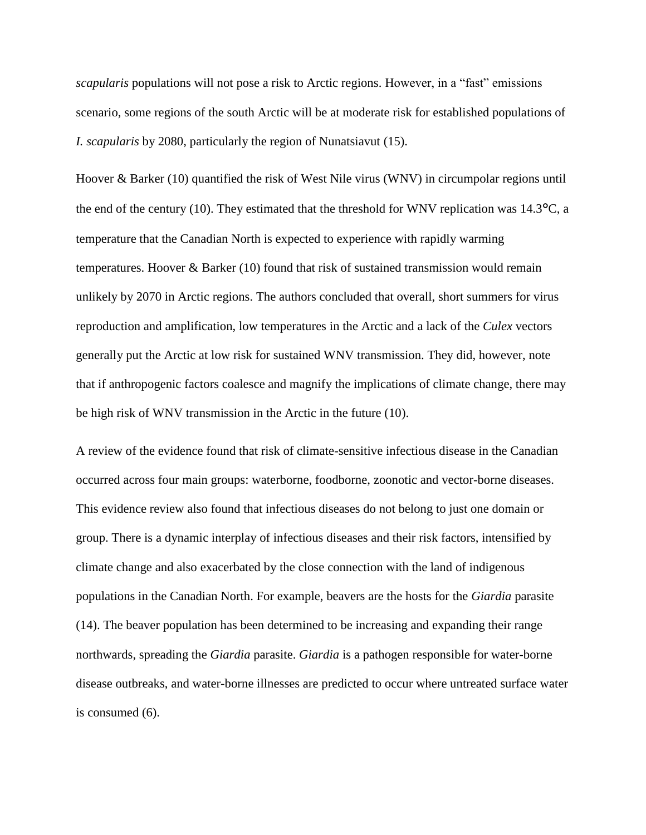*scapularis* populations will not pose a risk to Arctic regions. However, in a "fast" emissions scenario, some regions of the south Arctic will be at moderate risk for established populations of *I. scapularis* by 2080, particularly the region of Nunatsiavut (15).

Hoover & Barker (10) quantified the risk of West Nile virus (WNV) in circumpolar regions until the end of the century (10). They estimated that the threshold for WNV replication was 14.3°C, a temperature that the Canadian North is expected to experience with rapidly warming temperatures. Hoover & Barker (10) found that risk of sustained transmission would remain unlikely by 2070 in Arctic regions. The authors concluded that overall, short summers for virus reproduction and amplification, low temperatures in the Arctic and a lack of the *Culex* vectors generally put the Arctic at low risk for sustained WNV transmission. They did, however, note that if anthropogenic factors coalesce and magnify the implications of climate change, there may be high risk of WNV transmission in the Arctic in the future (10).

A review of the evidence found that risk of climate-sensitive infectious disease in the Canadian occurred across four main groups: waterborne, foodborne, zoonotic and vector-borne diseases. This evidence review also found that infectious diseases do not belong to just one domain or group. There is a dynamic interplay of infectious diseases and their risk factors, intensified by climate change and also exacerbated by the close connection with the land of indigenous populations in the Canadian North. For example, beavers are the hosts for the *Giardia* parasite (14). The beaver population has been determined to be increasing and expanding their range northwards, spreading the *Giardia* parasite. *Giardia* is a pathogen responsible for water-borne disease outbreaks, and water-borne illnesses are predicted to occur where untreated surface water is consumed (6).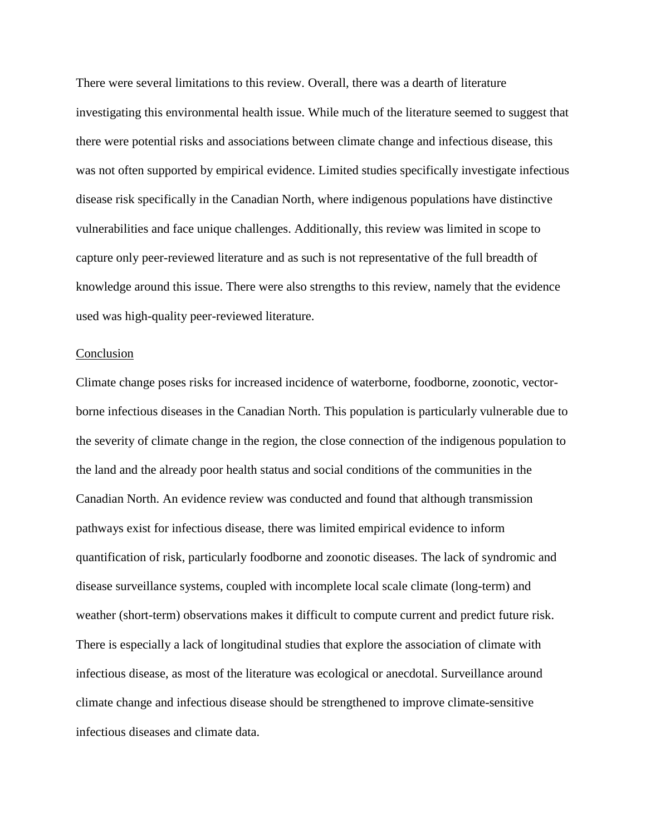There were several limitations to this review. Overall, there was a dearth of literature investigating this environmental health issue. While much of the literature seemed to suggest that there were potential risks and associations between climate change and infectious disease, this was not often supported by empirical evidence. Limited studies specifically investigate infectious disease risk specifically in the Canadian North, where indigenous populations have distinctive vulnerabilities and face unique challenges. Additionally, this review was limited in scope to capture only peer-reviewed literature and as such is not representative of the full breadth of knowledge around this issue. There were also strengths to this review, namely that the evidence used was high-quality peer-reviewed literature.

#### Conclusion

Climate change poses risks for increased incidence of waterborne, foodborne, zoonotic, vectorborne infectious diseases in the Canadian North. This population is particularly vulnerable due to the severity of climate change in the region, the close connection of the indigenous population to the land and the already poor health status and social conditions of the communities in the Canadian North. An evidence review was conducted and found that although transmission pathways exist for infectious disease, there was limited empirical evidence to inform quantification of risk, particularly foodborne and zoonotic diseases. The lack of syndromic and disease surveillance systems, coupled with incomplete local scale climate (long-term) and weather (short-term) observations makes it difficult to compute current and predict future risk. There is especially a lack of longitudinal studies that explore the association of climate with infectious disease, as most of the literature was ecological or anecdotal. Surveillance around climate change and infectious disease should be strengthened to improve climate-sensitive infectious diseases and climate data.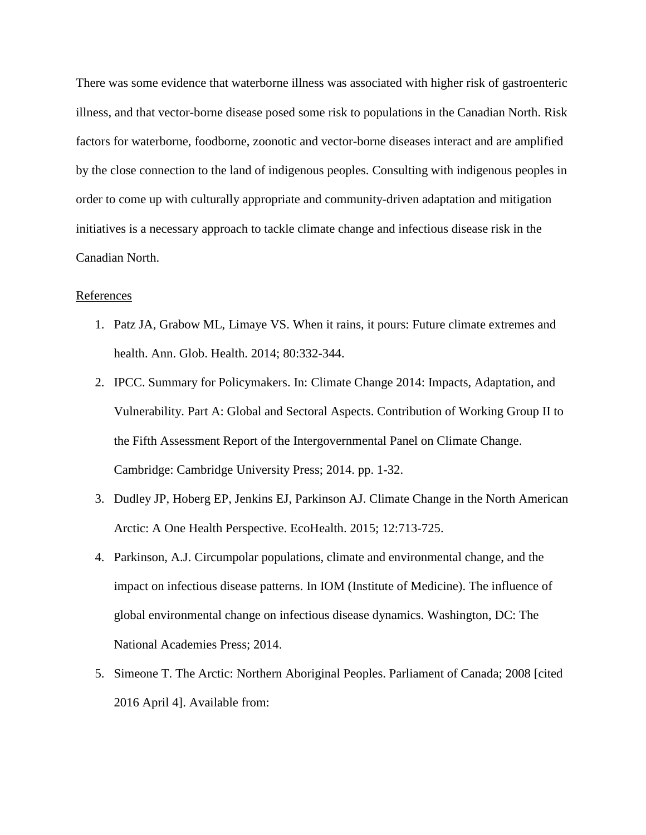There was some evidence that waterborne illness was associated with higher risk of gastroenteric illness, and that vector-borne disease posed some risk to populations in the Canadian North. Risk factors for waterborne, foodborne, zoonotic and vector-borne diseases interact and are amplified by the close connection to the land of indigenous peoples. Consulting with indigenous peoples in order to come up with culturally appropriate and community-driven adaptation and mitigation initiatives is a necessary approach to tackle climate change and infectious disease risk in the Canadian North.

# **References**

- 1. Patz JA, Grabow ML, Limaye VS. When it rains, it pours: Future climate extremes and health. Ann. Glob. Health. 2014; 80:332-344.
- 2. IPCC. Summary for Policymakers. In: Climate Change 2014: Impacts, Adaptation, and Vulnerability. Part A: Global and Sectoral Aspects. Contribution of Working Group II to the Fifth Assessment Report of the Intergovernmental Panel on Climate Change. Cambridge: Cambridge University Press; 2014. pp. 1-32.
- 3. Dudley JP, Hoberg EP, Jenkins EJ, Parkinson AJ. Climate Change in the North American Arctic: A One Health Perspective. EcoHealth. 2015; 12:713-725.
- 4. Parkinson, A.J. Circumpolar populations, climate and environmental change, and the impact on infectious disease patterns. In IOM (Institute of Medicine). The influence of global environmental change on infectious disease dynamics. Washington, DC: The National Academies Press; 2014.
- 5. Simeone T. The Arctic: Northern Aboriginal Peoples. Parliament of Canada; 2008 [cited 2016 April 4]. Available from: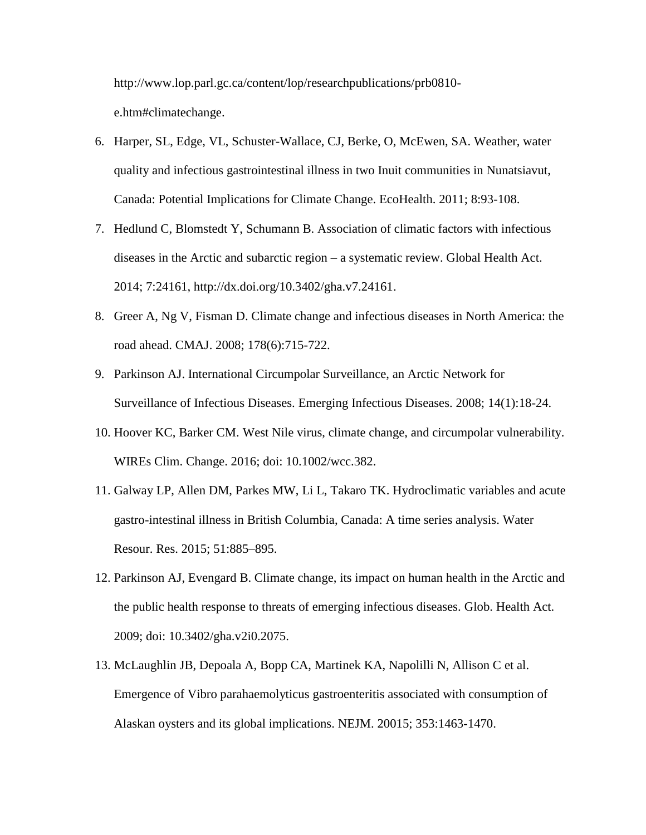http://www.lop.parl.gc.ca/content/lop/researchpublications/prb0810 e.htm#climatechange.

- 6. Harper, SL, Edge, VL, Schuster-Wallace, CJ, Berke, O, McEwen, SA. Weather, water quality and infectious gastrointestinal illness in two Inuit communities in Nunatsiavut, Canada: Potential Implications for Climate Change. EcoHealth. 2011; 8:93-108.
- 7. Hedlund C, Blomstedt Y, Schumann B. Association of climatic factors with infectious diseases in the Arctic and subarctic region – a systematic review. Global Health Act. 2014; 7:24161, http://dx.doi.org/10.3402/gha.v7.24161.
- 8. Greer A, Ng V, Fisman D. Climate change and infectious diseases in North America: the road ahead. CMAJ. 2008; 178(6):715-722.
- 9. Parkinson AJ. International Circumpolar Surveillance, an Arctic Network for Surveillance of Infectious Diseases. Emerging Infectious Diseases. 2008; 14(1):18-24.
- 10. Hoover KC, Barker CM. West Nile virus, climate change, and circumpolar vulnerability. WIREs Clim. Change. 2016; doi: 10.1002/wcc.382.
- 11. Galway LP, Allen DM, Parkes MW, Li L, Takaro TK. Hydroclimatic variables and acute gastro-intestinal illness in British Columbia, Canada: A time series analysis. Water Resour. Res. 2015; 51:885–895.
- 12. Parkinson AJ, Evengard B. Climate change, its impact on human health in the Arctic and the public health response to threats of emerging infectious diseases. Glob. Health Act. 2009; doi: 10.3402/gha.v2i0.2075.
- 13. McLaughlin JB, Depoala A, Bopp CA, Martinek KA, Napolilli N, Allison C et al. Emergence of Vibro parahaemolyticus gastroenteritis associated with consumption of Alaskan oysters and its global implications. NEJM. 20015; 353:1463-1470.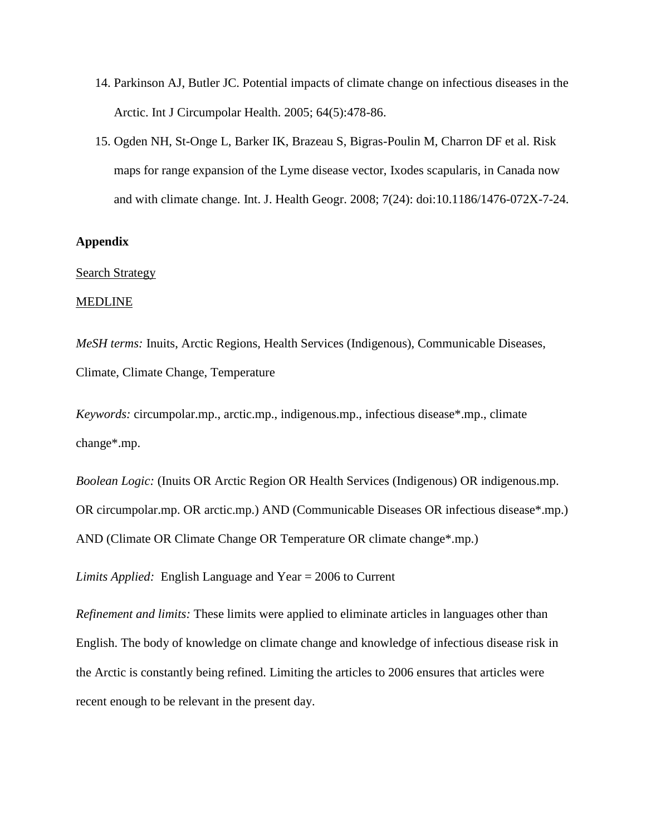- 14. Parkinson AJ, Butler JC. Potential impacts of climate change on infectious diseases in the Arctic. Int J Circumpolar Health. 2005; 64(5):478-86.
- 15. Ogden NH, St-Onge L, Barker IK, Brazeau S, Bigras-Poulin M, Charron DF et al. Risk maps for range expansion of the Lyme disease vector, Ixodes scapularis, in Canada now and with climate change. Int. J. Health Geogr. 2008; 7(24): doi:10.1186/1476-072X-7-24.

# **Appendix**

## Search Strategy

## MEDLINE

*MeSH terms:* Inuits, Arctic Regions, Health Services (Indigenous), Communicable Diseases, Climate, Climate Change, Temperature

*Keywords:* circumpolar.mp., arctic.mp., indigenous.mp., infectious disease\*.mp., climate change\*.mp.

*Boolean Logic:* (Inuits OR Arctic Region OR Health Services (Indigenous) OR indigenous.mp. OR circumpolar.mp. OR arctic.mp.) AND (Communicable Diseases OR infectious disease\*.mp.) AND (Climate OR Climate Change OR Temperature OR climate change\*.mp.)

*Limits Applied:* English Language and Year = 2006 to Current

*Refinement and limits:* These limits were applied to eliminate articles in languages other than English. The body of knowledge on climate change and knowledge of infectious disease risk in the Arctic is constantly being refined. Limiting the articles to 2006 ensures that articles were recent enough to be relevant in the present day.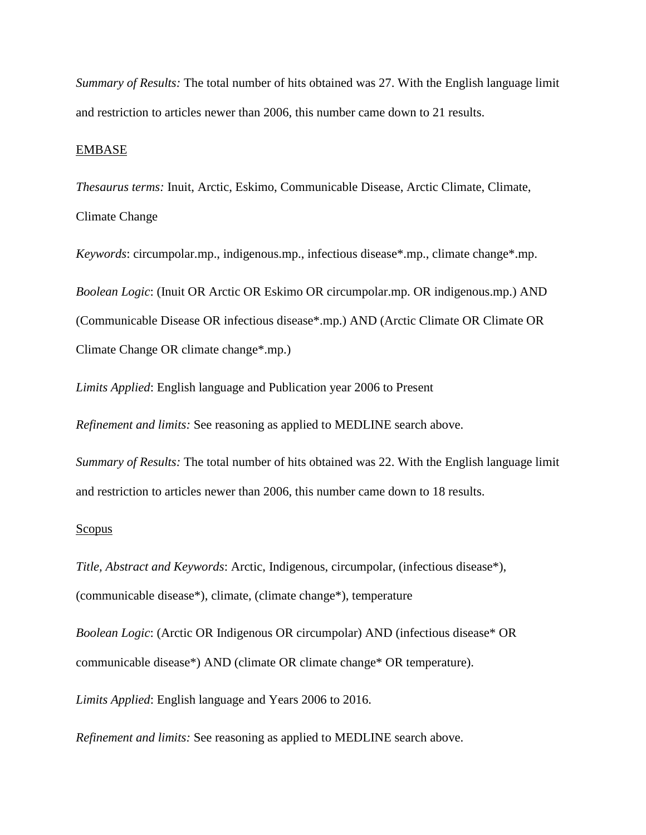*Summary of Results:* The total number of hits obtained was 27. With the English language limit and restriction to articles newer than 2006, this number came down to 21 results.

## EMBASE

*Thesaurus terms:* Inuit, Arctic, Eskimo, Communicable Disease, Arctic Climate, Climate, Climate Change

*Keywords*: circumpolar.mp., indigenous.mp., infectious disease\*.mp., climate change\*.mp. *Boolean Logic*: (Inuit OR Arctic OR Eskimo OR circumpolar.mp. OR indigenous.mp.) AND (Communicable Disease OR infectious disease\*.mp.) AND (Arctic Climate OR Climate OR Climate Change OR climate change\*.mp.)

*Limits Applied*: English language and Publication year 2006 to Present

*Refinement and limits:* See reasoning as applied to MEDLINE search above.

*Summary of Results:* The total number of hits obtained was 22. With the English language limit and restriction to articles newer than 2006, this number came down to 18 results.

#### Scopus

*Title, Abstract and Keywords*: Arctic, Indigenous, circumpolar, (infectious disease\*), (communicable disease\*), climate, (climate change\*), temperature

*Boolean Logic*: (Arctic OR Indigenous OR circumpolar) AND (infectious disease\* OR communicable disease\*) AND (climate OR climate change\* OR temperature).

*Limits Applied*: English language and Years 2006 to 2016.

*Refinement and limits:* See reasoning as applied to MEDLINE search above.